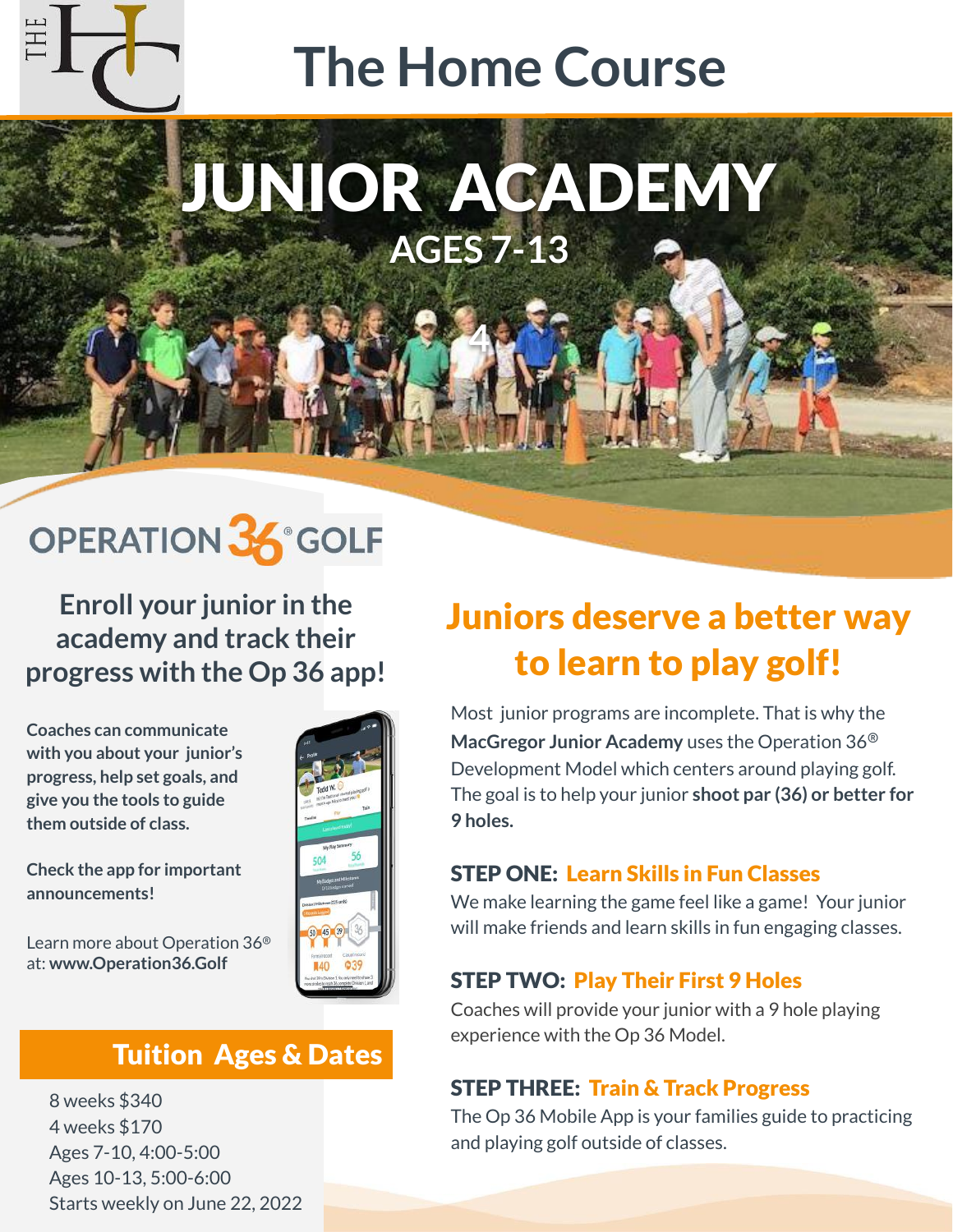# **The Home Course**

# JUNIOR ACADEMY **AGES 7-13**

**4**

## OPERATION 36° GOLF

**Enroll your junior in the academy and track their progress with the Op 36 app!**

**Coaches can communicate with you about your junior's progress, help set goals, and give you the tools to guide them outside of class.**

#### **Check the app for important announcements!**

Learn more about Operation 36® at: **www.Operation36.Golf**

### Tuition Ages & Dates

8 weeks \$340 4 weeks \$170 Ages 7-10, 4:00-5:00 Ages 10-13, 5:00-6:00 Starts weekly on June 22, 2022

### Juniors deserve a better way to learn to play golf!

Most junior programs are incomplete. That is why the **MacGregor Junior Academy** uses the Operation 36® Development Model which centers around playing golf. The goal is to help your junior **shoot par (36) or better for 9 holes.**

#### STEP ONE: Learn Skills in Fun Classes

We make learning the game feel like a game! Your junior will make friends and learn skills in fun engaging classes.

#### STEP TWO: Play Their First 9 Holes

Coaches will provide your junior with a 9 hole playing experience with the Op 36 Model.

#### STEP THREE: Train & Track Progress

The Op 36 Mobile App is your families guide to practicing and playing golf outside of classes.